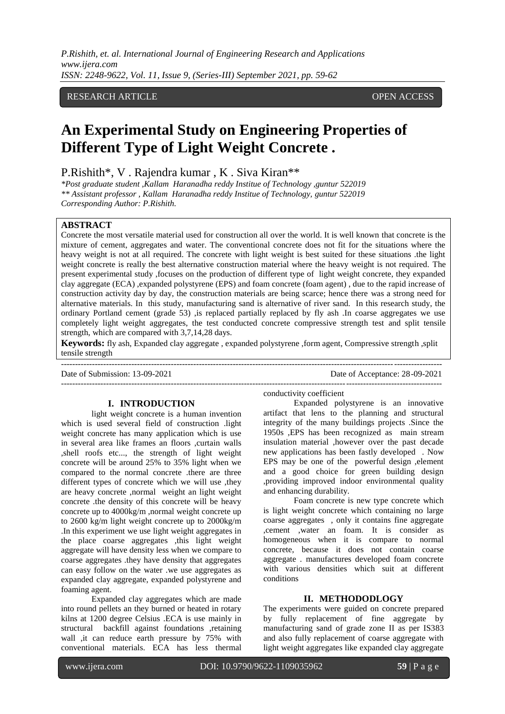*P.Rishith, et. al. International Journal of Engineering Research and Applications www.ijera.com ISSN: 2248-9622, Vol. 11, Issue 9, (Series-III) September 2021, pp. 59-62*

# RESEARCH ARTICLE OPEN ACCESS

# **An Experimental Study on Engineering Properties of Different Type of Light Weight Concrete .**

P.Rishith\*, V . Rajendra kumar , K . Siva Kiran\*\*

*\*Post graduate student ,Kallam Haranadha reddy Institue of Technology ,guntur 522019 \*\* Assistant professor , Kallam Haranadha reddy Institue of Technology, guntur 522019 Corresponding Author: P.Rishith.*

# **ABSTRACT**

Concrete the most versatile material used for construction all over the world. It is well known that concrete is the mixture of cement, aggregates and water. The conventional concrete does not fit for the situations where the heavy weight is not at all required. The concrete with light weight is best suited for these situations .the light weight concrete is really the best alternative construction material where the heavy weight is not required. The present experimental study ,focuses on the production of different type of light weight concrete, they expanded clay aggregate (ECA) ,expanded polystyrene (EPS) and foam concrete (foam agent) , due to the rapid increase of construction activity day by day, the construction materials are being scarce; hence there was a strong need for alternative materials. In this study, manufacturing sand is alternative of river sand. In this research study, the ordinary Portland cement (grade 53) ,is replaced partially replaced by fly ash .In coarse aggregates we use completely light weight aggregates, the test conducted concrete compressive strength test and split tensile strength, which are compared with 3,7,14,28 days.

**Keywords:** fly ash, Expanded clay aggregate , expanded polystyrene ,form agent, Compressive strength ,split tensile strength ---------------------------------------------------------------------------------------------------------------------------------------

Date of Submission: 13-09-2021 Date of Acceptance: 28-09-2021 ---------------------------------------------------------------------------------------------------------------------------------------

#### **I. INTRODUCTION**

light weight concrete is a human invention which is used several field of construction .light weight concrete has many application which is use in several area like frames an floors ,curtain walls ,shell roofs etc..., the strength of light weight concrete will be around 25% to 35% light when we compared to the normal concrete .there are three different types of concrete which we will use ,they are heavy concrete ,normal weight an light weight concrete .the density of this concrete will be heavy concrete up to 4000kg/m ,normal weight concrete up to 2600 kg/m light weight concrete up to 2000kg/m .In this experiment we use light weight aggregates in the place coarse aggregates ,this light weight aggregate will have density less when we compare to coarse aggregates .they have density that aggregates can easy follow on the water .we use aggregates as expanded clay aggregate, expanded polystyrene and foaming agent.

Expanded clay aggregates which are made into round pellets an they burned or heated in rotary kilns at 1200 degree Celsius .ECA is use mainly in structural backfill against foundations ,retaining wall ,it can reduce earth pressure by 75% with conventional materials. ECA has less thermal

conductivity coefficient

Expanded polystyrene is an innovative artifact that lens to the planning and structural integrity of the many buildings projects .Since the 1950s ,EPS has been recognized as main stream insulation material ,however over the past decade new applications has been fastly developed . Now EPS may be one of the powerful design ,element and a good choice for green building design ,providing improved indoor environmental quality and enhancing durability.

Foam concrete is new type concrete which is light weight concrete which containing no large coarse aggregates , only it contains fine aggregate ,cement ,water an foam. It is consider as homogeneous when it is compare to normal concrete, because it does not contain coarse aggregate . manufactures developed foam concrete with various densities which suit at different conditions

#### **II. METHODODLOGY**

The experiments were guided on concrete prepared by fully replacement of fine aggregate by manufacturing sand of grade zone II as per IS383 and also fully replacement of coarse aggregate with light weight aggregates like expanded clay aggregate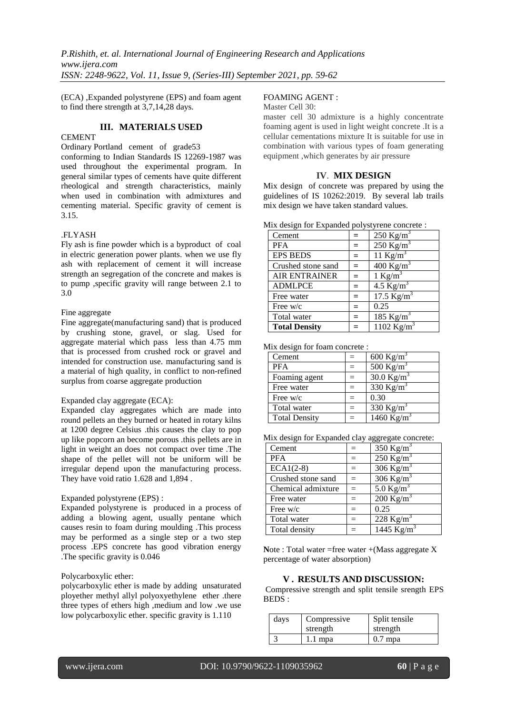(ECA) ,Expanded polystyrene (EPS) and foam agent to find there strength at 3,7,14,28 days.

# **III. MATERIALS USED**

# **CEMENT**

Ordinary Portland cement of grade53

conforming to Indian Standards IS 12269-1987 was used throughout the experimental program. In general similar types of cements have quite different rheological and strength characteristics, mainly when used in combination with admixtures and cementing material. Specific gravity of cement is 3.15.

### .FLYASH

Fly ash is fine powder which is a byproduct of coal in electric generation power plants. when we use fly ash with replacement of cement it will increase strength an segregation of the concrete and makes is to pump ,specific gravity will range between 2.1 to 3.0

# Fine aggregate

Fine aggregate(manufacturing sand) that is produced by crushing stone, gravel, or slag. Used for aggregate material which pass less than 4.75 mm that is processed from crushed rock or gravel and intended for construction use. manufacturing sand is a material of high quality, in conflict to non-refined surplus from coarse aggregate production

### Expanded clay aggregate (ECA):

Expanded clay aggregates which are made into round pellets an they burned or heated in rotary kilns at 1200 degree Celsius .this causes the clay to pop up like popcorn an become porous .this pellets are in light in weight an does not compact over time .The shape of the pellet will not be uniform will be irregular depend upon the manufacturing process. They have void ratio 1.628 and 1,894 .

### Expanded polystyrene (EPS) :

Expanded polystyrene is produced in a process of adding a blowing agent, usually pentane which causes resin to foam during moulding .This process may be performed as a single step or a two step process .EPS concrete has good vibration energy .The specific gravity is 0.046

### Polycarboxylic ether:

polycarboxylic ether is made by adding unsaturated ployether methyl allyl polyoxyethylene ether .there three types of ethers high ,medium and low .we use low polycarboxylic ether. specific gravity is 1.110

# FOAMING AGENT :

#### Master Cell 30:

master cell 30 admixture is a highly concentrate foaming agent is used in light weight concrete .It is a cellular cementations mixture It is suitable for use in combination with various types of foam generating equipment ,which generates by air pressure

#### **IV**. **MIX DESIGN**

Mix design of concrete was prepared by using the guidelines of IS 10262:2019. By several lab trails mix design we have taken standard values.

|  |  |  | Mix design for Expanded polystyrene concrete : |  |
|--|--|--|------------------------------------------------|--|
|--|--|--|------------------------------------------------|--|

| Cement               | $=$ | $250$ Kg/m <sup>3</sup> |
|----------------------|-----|-------------------------|
| <b>PFA</b>           | $=$ | $250$ Kg/m <sup>3</sup> |
| <b>EPS BEDS</b>      | $=$ | 11 Kg/m <sup>3</sup>    |
| Crushed stone sand   | $=$ | 400 Kg/m <sup>3</sup>   |
| <b>AIR ENTRAINER</b> | $=$ | 1 Kg/m <sup>3</sup>     |
| <b>ADMLPCE</b>       | $=$ | 4.5 $\text{Kg/m}^3$     |
| Free water           | $=$ | 17.5 $Kg/m^3$           |
| Free $w/c$           | $=$ | 0.25                    |
| Total water          | $=$ | 185 Kg/m <sup>3</sup>   |
| <b>Total Density</b> |     | 1102 Kg/m <sup>3</sup>  |

Mix design for foam concrete :

| Cement               | $=$               | 600 Kg/m <sup>3</sup>  |
|----------------------|-------------------|------------------------|
| <b>PFA</b>           | $\qquad \qquad -$ | 500 Kg/m <sup>3</sup>  |
| Foaming agent        | $=$               | $30.0 \text{ Kg/m}^3$  |
| Free water           | $=$               | 330 Kg/m <sup>3</sup>  |
| Free $w/c$           |                   | 0.30                   |
| Total water          | $=$               | 330 Kg/m <sup>3</sup>  |
| <b>Total Density</b> |                   | 1460 Kg/m <sup>3</sup> |

Mix design for Expanded clay aggregate concrete:

| Cement             |     | 350 Kg/m <sup>3</sup>   |
|--------------------|-----|-------------------------|
| <b>PFA</b>         | $=$ | $250$ Kg/m <sup>3</sup> |
| $ECA1(2-8)$        |     | $306$ Kg/m <sup>3</sup> |
| Crushed stone sand | $=$ | 306 Kg/m <sup>3</sup>   |
| Chemical admixture | $=$ | $5.0$ Kg/m <sup>3</sup> |
| Free water         |     | $200$ Kg/m <sup>3</sup> |
| Free w/c           |     | 0.25                    |
| Total water        | $=$ | 228 Kg/m <sup>3</sup>   |
| Total density      |     | 1445 $Kg/m^3$           |

Note : Total water =free water +(Mass aggregate X percentage of water absorption)

# **V . RESULTS AND DISCUSSION:**

Compressive strength and split tensile srength EPS BEDS :

| days | Compressive | Split tensile |
|------|-------------|---------------|
|      | strength    | strength      |
|      | 1.1 mpa     | $0.7$ mpa     |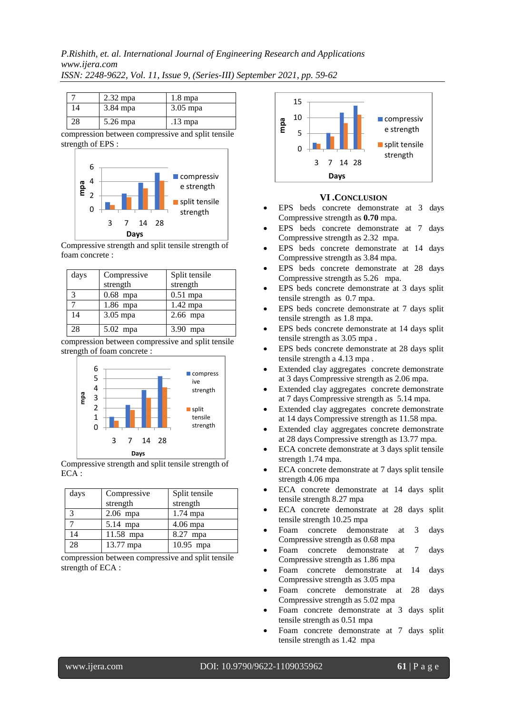# *P.Rishith, et. al. International Journal of Engineering Research and Applications www.ijera.com ISSN: 2248-9622, Vol. 11, Issue 9, (Series-III) September 2021, pp. 59-62*

|    | $2.32$ mpa | $1.8$ mpa  |
|----|------------|------------|
| 14 | $3.84$ mpa | $3.05$ mpa |
| 28 | 5.26 mpa   | $.13$ mpa  |

compression between compressive and split tensile strength of EPS :



Compressive strength and split tensile strength of foam concrete :

| days          | Compressive | Split tensile |
|---------------|-------------|---------------|
|               | strength    | strength      |
| $\mathcal{E}$ | $0.68$ mpa  | $0.51$ mpa    |
|               | $1.86$ mpa  | 1.42 mpa      |
| 14            | 3.05 mpa    | $2.66$ mpa    |
| 28            | 5.02 mpa    | 3.90 mpa      |

compression between compressive and split tensile strength of foam concrete :



Compressive strength and split tensile strength of ECA :

| days | Compressive | Split tensile |
|------|-------------|---------------|
|      | strength    | strength      |
| 3    | $2.06$ mpa  | $1.74$ mpa    |
|      | 5.14 mpa    | 4.06 mpa      |
| 14   | 11.58 mpa   | 8.27 mpa      |
| 28   | 13.77 mpa   | $10.95$ mpa   |

compression between compressive and split tensile strength of ECA :



### **VI .CONCLUSION**

- EPS beds concrete demonstrate at 3 days Compressive strength as **0.70** mpa.
- EPS beds concrete demonstrate at 7 days Compressive strength as 2.32 mpa.
- EPS beds concrete demonstrate at 14 days Compressive strength as 3.84 mpa.
- EPS beds concrete demonstrate at 28 days Compressive strength as 5.26 mpa.
- EPS beds concrete demonstrate at 3 days split tensile strength as 0.7 mpa.
- EPS beds concrete demonstrate at 7 days split tensile strength as 1.8 mpa.
- EPS beds concrete demonstrate at 14 days split tensile strength as 3.05 mpa .
- EPS beds concrete demonstrate at 28 days split tensile strength a 4.13 mpa .
- Extended clay aggregates concrete demonstrate at 3 days Compressive strength as 2.06 mpa.
- Extended clay aggregates concrete demonstrate at 7 days Compressive strength as 5.14 mpa.
- Extended clay aggregates concrete demonstrate at 14 days Compressive strength as 11.58 mpa.
- Extended clay aggregates concrete demonstrate at 28 days Compressive strength as 13.77 mpa.
- ECA concrete demonstrate at 3 days split tensile strength 1.74 mpa.
- ECA concrete demonstrate at 7 days split tensile strength 4.06 mpa
- ECA concrete demonstrate at 14 days split tensile strength 8.27 mpa
- ECA concrete demonstrate at 28 days split tensile strength 10.25 mpa
- Foam concrete demonstrate at 3 days Compressive strength as 0.68 mpa
- Foam concrete demonstrate at 7 days Compressive strength as 1.86 mpa
- Foam concrete demonstrate at 14 days Compressive strength as 3.05 mpa
- Foam concrete demonstrate at 28 days Compressive strength as 5.02 mpa
- Foam concrete demonstrate at 3 days split tensile strength as 0.51 mpa
- Foam concrete demonstrate at 7 days split tensile strength as 1.42 mpa